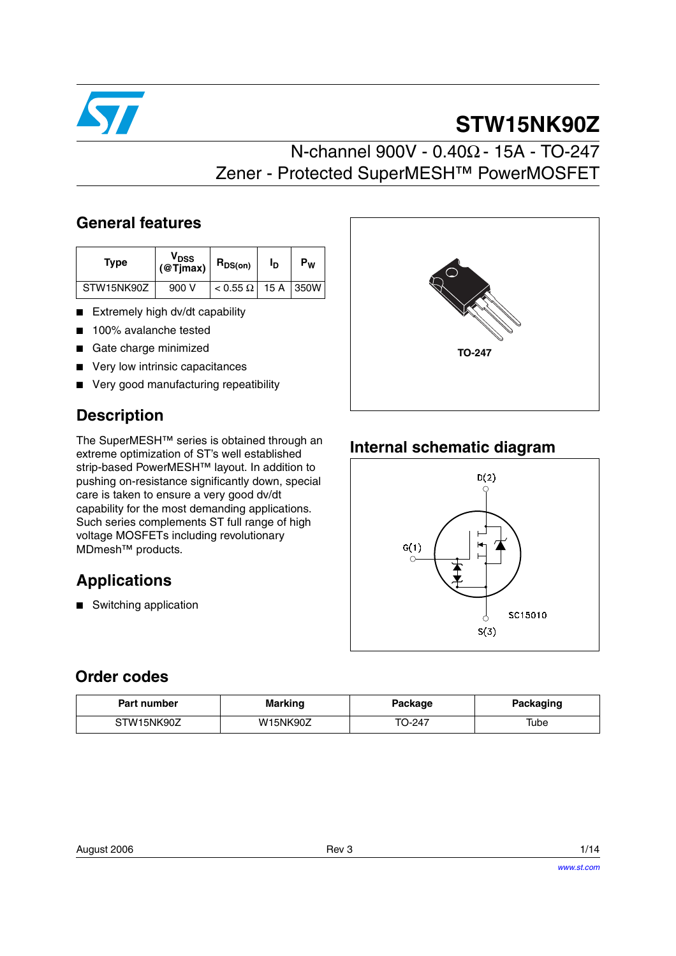

# **STW15NK90Z**

# N-channel 900V - 0.40Ω - 15A - TO-247 Zener - Protected SuperMESH™ PowerMOSFET

#### **General features**

| Type       | V <sub>DSS</sub><br>$@Tjmax$ ) | $R_{DS(on)}$                  | םי | $P_W$ |
|------------|--------------------------------|-------------------------------|----|-------|
| STW15NK90Z | 900 V                          | $< 0.55 \Omega$   15 A   350W |    |       |

- Extremely high dv/dt capability
- 100% avalanche tested
- Gate charge minimized
- Very low intrinsic capacitances
- Very good manufacturing repeatibility

## **Description**

The SuperMESH™ series is obtained through an extreme optimization of ST's well established strip-based PowerMESH™ layout. In addition to pushing on-resistance significantly down, special care is taken to ensure a very good dv/dt capability for the most demanding applications. Such series complements ST full range of high voltage MOSFETs including revolutionary MDmesh™ products.

## **Applications**

■ Switching application



## **Internal schematic diagram**



#### **Order codes**

| Part number | <b>Marking</b>  | Package | Packaging |
|-------------|-----------------|---------|-----------|
| STW15NK90Z  | <b>W15NK90Z</b> | TO-247  | Tube      |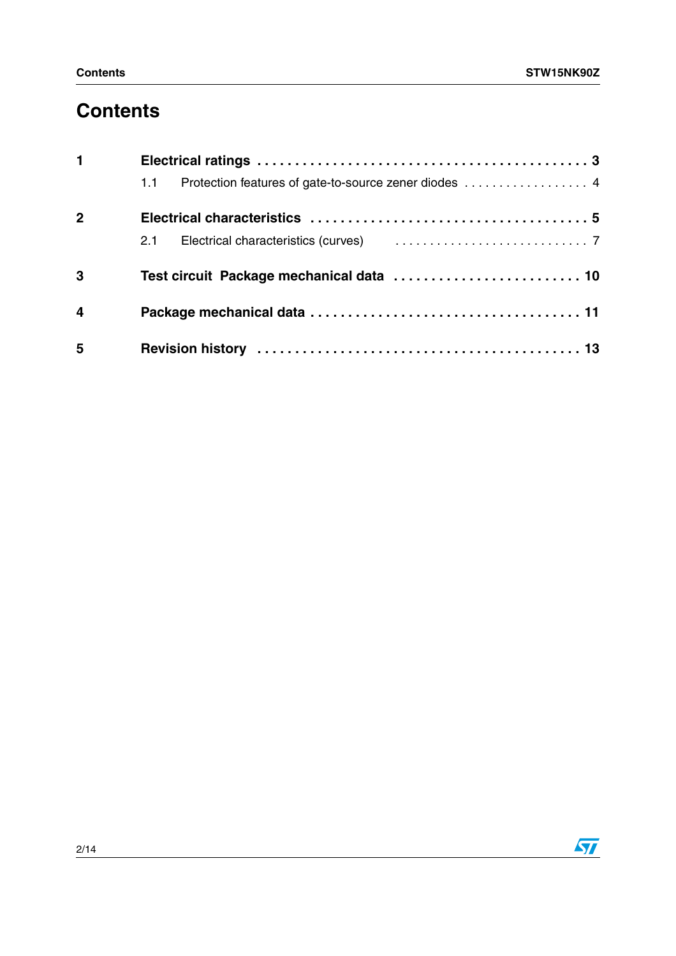# **Contents**

| $\mathbf{1}$   |                                                                                   |  |
|----------------|-----------------------------------------------------------------------------------|--|
|                | 1.1                                                                               |  |
| $\mathbf{2}$   |                                                                                   |  |
|                | 2.1 Electrical characteristics (curves) [1, 1, 1, 1, 1, 1, 1, 1, 1, 1, 1, 1, 1, 7 |  |
| 3              |                                                                                   |  |
| $\overline{4}$ |                                                                                   |  |
| 5              |                                                                                   |  |

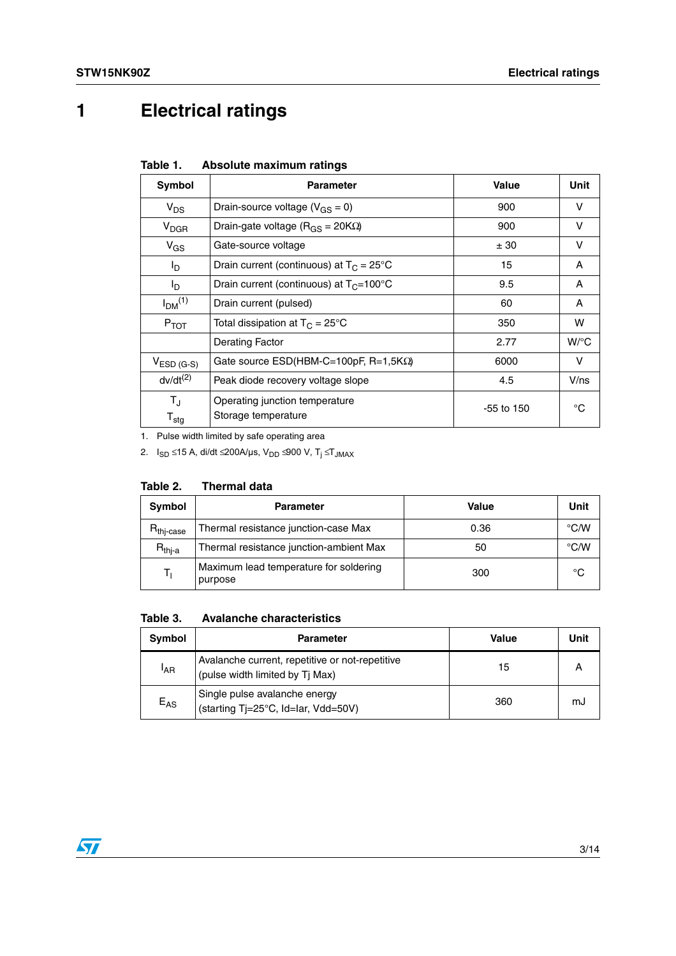# <span id="page-2-0"></span>**1 Electrical ratings**

| Table 1. |  | Absolute maximum ratings |  |
|----------|--|--------------------------|--|
|----------|--|--------------------------|--|

| Symbol                                     | <b>Parameter</b>                                      | Value        | Unit               |
|--------------------------------------------|-------------------------------------------------------|--------------|--------------------|
| $V_{DS}$                                   | Drain-source voltage ( $V_{GS} = 0$ )                 | 900          | v                  |
| <b>V<sub>DGR</sub></b>                     | Drain-gate voltage ( $R_{GS}$ = 20K $\Omega$ )        | 900          | v                  |
| $V_{GS}$                                   | Gate-source voltage                                   | ± 30         | v                  |
| $I_{\mathsf{D}}$                           | Drain current (continuous) at $T_C = 25^{\circ}C$     | 15           | A                  |
| I <sub>D</sub>                             | Drain current (continuous) at $T_C = 100^{\circ}C$    | 9.5          | A                  |
| I <sub>DM</sub> <sup>(1)</sup>             | Drain current (pulsed)                                | 60           | A                  |
| $P_{TOT}$                                  | Total dissipation at $T_C = 25^{\circ}C$              | 350          | w                  |
|                                            | <b>Derating Factor</b>                                | 2.77         | $W$ <sup>o</sup> C |
| $VESD$ (G-S)                               | Gate source $ESD(HBM-C=100pF, R=1,5K\Omega)$          | 6000         | v                  |
| $dv/dt^{(2)}$                              | Peak diode recovery voltage slope                     | 4.5          | V/ns               |
| $T_{\rm J}$<br>$\mathsf{T}_{\textsf{stg}}$ | Operating junction temperature<br>Storage temperature | $-55$ to 150 | °C                 |

1. Pulse width limited by safe operating area

2. I<sub>SD</sub> ≤15 A, di/dt ≤200A/µs, V<sub>DD</sub> ≤900 V, T<sub>j</sub> ≤T<sub>JMAX</sub>

|  | Table 2. |  | <b>Thermal data</b> |  |
|--|----------|--|---------------------|--|
|--|----------|--|---------------------|--|

| Symbol                  | <b>Parameter</b>                                  | Value | Unit          |
|-------------------------|---------------------------------------------------|-------|---------------|
| $R_{\mathsf{thj-case}}$ | Thermal resistance junction-case Max              | 0.36  | $\degree$ C/W |
| R <sub>thj-a</sub>      | Thermal resistance junction-ambient Max           | 50    | $\degree$ C/W |
| T,                      | Maximum lead temperature for soldering<br>purpose | 300   | °C            |

**Table 3. Avalanche characteristics**

| Symbol          | <b>Parameter</b>                                                                   | <b>Value</b> | Unit |
|-----------------|------------------------------------------------------------------------------------|--------------|------|
| <sup>I</sup> AR | Avalanche current, repetitive or not-repetitive<br>(pulse width limited by Tj Max) | 15           |      |
| $E_{AS}$        | Single pulse avalanche energy<br>(starting Tj=25°C, Id=Iar, Vdd=50V)               | 360          | mJ   |

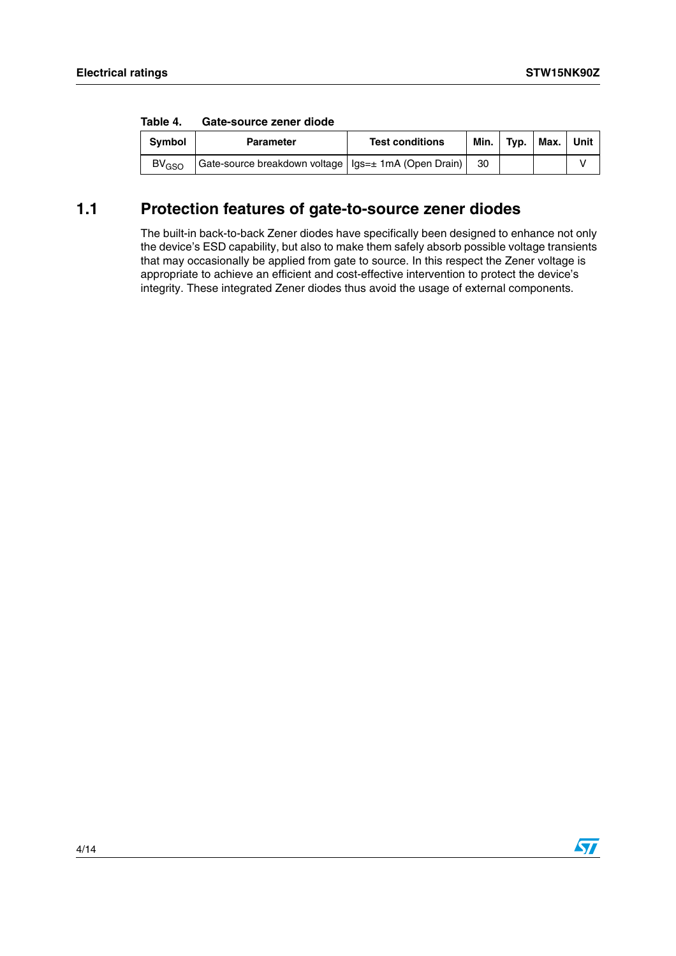| Table 4. | Gate-source zener diode |  |
|----------|-------------------------|--|
|          |                         |  |

| <b>Symbol</b>           | <b>Parameter</b>                                       | <b>Test conditions</b> | Min. ı | Tvp. | Max. | Unit |
|-------------------------|--------------------------------------------------------|------------------------|--------|------|------|------|
| <b>BV<sub>GSO</sub></b> | Gate-source breakdown voltage   Igs=± 1mA (Open Drain) |                        | -30    |      |      |      |

#### <span id="page-3-0"></span>**1.1 Protection features of gate-to-source zener diodes**

The built-in back-to-back Zener diodes have specifically been designed to enhance not only the device's ESD capability, but also to make them safely absorb possible voltage transients that may occasionally be applied from gate to source. In this respect the Zener voltage is appropriate to achieve an efficient and cost-effective intervention to protect the device's integrity. These integrated Zener diodes thus avoid the usage of external components.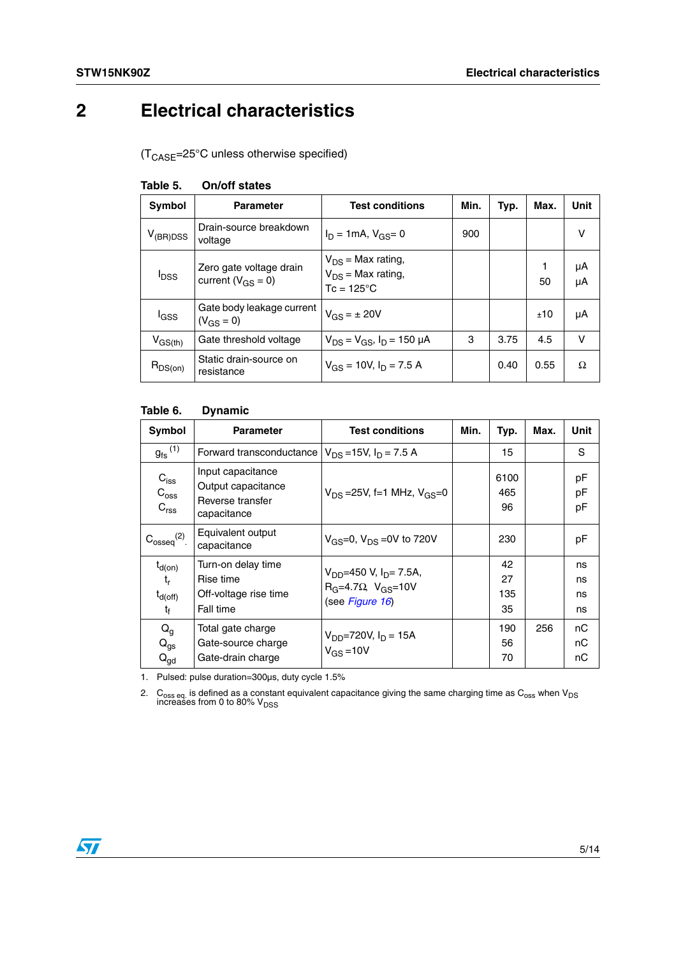# <span id="page-4-0"></span>**2 Electrical characteristics**

(TCASE=25°C unless otherwise specified)

| Symbol                  | <b>Parameter</b>                                    | <b>Test conditions</b>                                                  | Min. | Typ. | Max.    | Unit     |
|-------------------------|-----------------------------------------------------|-------------------------------------------------------------------------|------|------|---------|----------|
| $V_{(BR)DSS}$           | Drain-source breakdown<br>voltage                   | $I_D = 1mA$ , $V_{GS} = 0$                                              | 900  |      |         | v        |
| <b>I</b> <sub>DSS</sub> | Zero gate voltage drain<br>current ( $V_{GS} = 0$ ) | $V_{DS}$ = Max rating,<br>$V_{DS}$ = Max rating,<br>$Tc = 125^{\circ}C$ |      |      | 1<br>50 | μA<br>μA |
| lgss                    | Gate body leakage current<br>$(V_{GS} = 0)$         | $V_{GS} = \pm 20V$                                                      |      |      | ±10     | μA       |
| $V_{GS(th)}$            | Gate threshold voltage                              | $V_{DS} = V_{GS}$ , $I_D = 150 \mu A$                                   | 3    | 3.75 | 4.5     | v        |
| $R_{DS(on)}$            | Static drain-source on<br>resistance                | $V_{GS}$ = 10V, $I_D$ = 7.5 A                                           |      | 0.40 | 0.55    | Ω        |

#### **Table 5. On/off states**

#### **Table 6. Dynamic**

| Symbol                                                          | <b>Parameter</b>                                                           | <b>Test conditions</b>                                                                       | Min. | Typ.                  | Max. | Unit                 |
|-----------------------------------------------------------------|----------------------------------------------------------------------------|----------------------------------------------------------------------------------------------|------|-----------------------|------|----------------------|
| $g_{\text{fs}}^{(1)}$                                           | Forward transconductance                                                   | $V_{DS} = 15V$ , $I_D = 7.5 A$                                                               |      | 15                    |      | S                    |
| $C_{\text{iss}}$<br>$C_{\text{oss}}$<br>C <sub>rss</sub>        | Input capacitance<br>Output capacitance<br>Reverse transfer<br>capacitance | $V_{DS}$ = 25V, f = 1 MHz, $V_{GS}$ = 0                                                      |      | 6100<br>465<br>96     |      | pF<br>pF<br>pF       |
| $C_{\text{osseq}}^{(2)}$ .                                      | Equivalent output<br>capacitance                                           | $V_{GS} = 0$ , $V_{DS} = 0V$ to 720V                                                         |      | 230                   |      | рF                   |
| $t_{d(on)}$<br>$t_{r}$<br>$t_{d(\text{off})}$<br>t <sub>f</sub> | Turn-on delay time<br>Rise time<br>Off-voltage rise time<br>Fall time      | $V_{DD}$ =450 V, I <sub>D</sub> = 7.5A,<br>$R_G=4.7\Omega$ , $V_{GS}=10V$<br>(see Figure 16) |      | 42<br>27<br>135<br>35 |      | ns<br>ns<br>ns<br>ns |
| $Q_g$<br>$Q_{gs}$<br>${\mathsf Q}_{\mathsf{gd}}$                | Total gate charge<br>Gate-source charge<br>Gate-drain charge               | $V_{DD} = 720V, I_D = 15A$<br>$V_{GS} = 10V$                                                 |      | 190<br>56<br>70       | 256  | nC<br>nС<br>nС       |

1. Pulsed: pulse duration=300µs, duty cycle 1.5%

2. C<sub>oss eq.</sub> is defined as a constant equivalent capacitance giving the same charging time as C<sub>oss</sub> when V<sub>DS</sub><br>increases from 0 to 80% V<sub>DSS</sub>

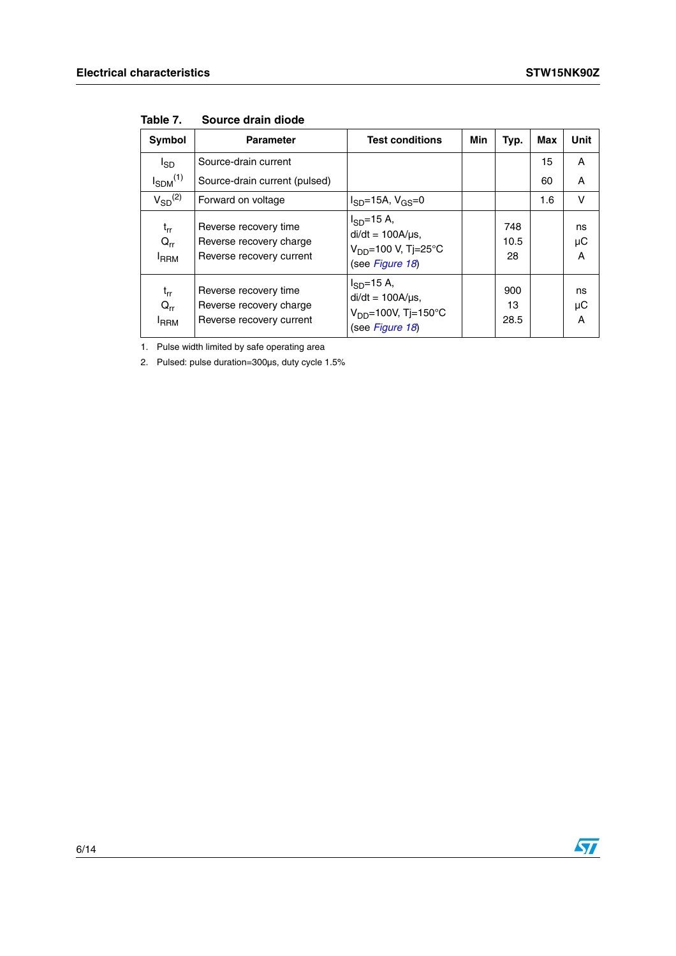| Symbol                               | <b>Parameter</b>                                                             | <b>Test conditions</b>                                                                       | Min | Typ.              | Max | <b>Unit</b>        |
|--------------------------------------|------------------------------------------------------------------------------|----------------------------------------------------------------------------------------------|-----|-------------------|-----|--------------------|
| $I_{SD}$                             | Source-drain current                                                         |                                                                                              |     |                   | 15  | A                  |
| $I_{SDM}$ <sup>(1)</sup>             | Source-drain current (pulsed)                                                |                                                                                              |     |                   | 60  | A                  |
| $V_{SD}^{(2)}$                       | Forward on voltage                                                           | $I_{SD}$ =15A, $V_{GS}$ =0                                                                   |     |                   | 1.6 | v                  |
| $t_{rr}$<br>$Q_{rr}$<br><b>I</b> RRM | Reverse recovery time<br>Reverse recovery charge<br>Reverse recovery current | $I_{SD} = 15 A$ ,<br>$di/dt = 100A/\mu s$ ,<br>$V_{DD} = 100 V$ , Tj=25°C<br>(see Figure 18) |     | 748<br>10.5<br>28 |     | ns<br>μC<br>Α      |
| $t_{rr}$<br>$Q_{rr}$<br><b>IRRM</b>  | Reverse recovery time<br>Reverse recovery charge<br>Reverse recovery current | $I_{SD} = 15 A$ ,<br>$di/dt = 100A/\mu s$ ,<br>$V_{DD} = 100V$ , Tj=150°C<br>(see Figure 18) |     | 900<br>13<br>28.5 |     | ns<br>$\mu$ C<br>A |

**Table 7. Source drain diode**

1. Pulse width limited by safe operating area

2. Pulsed: pulse duration=300µs, duty cycle 1.5%

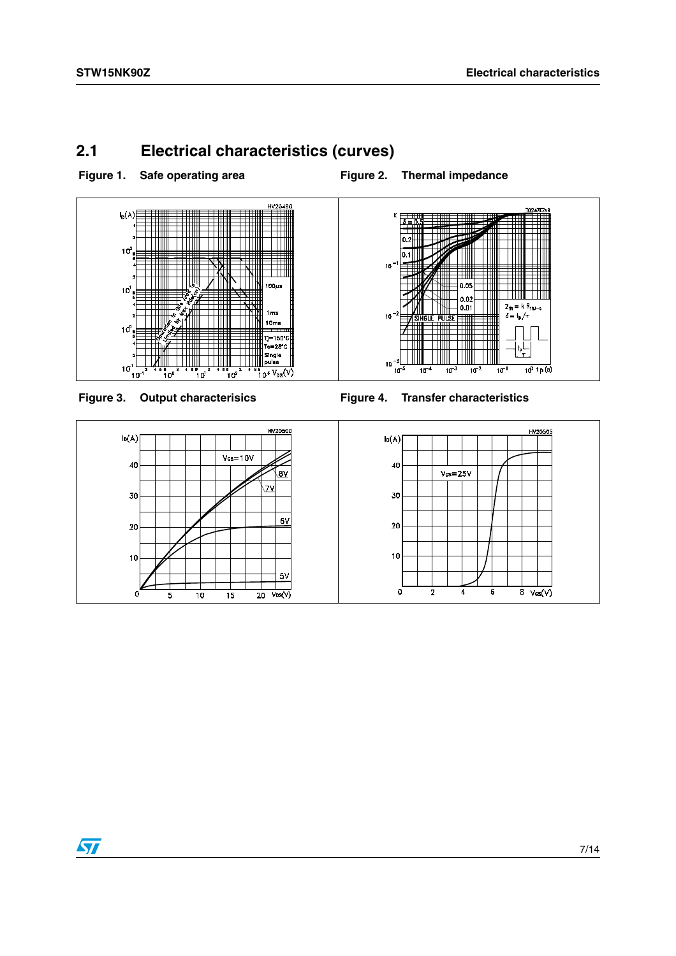## <span id="page-6-0"></span>**2.1 Electrical characteristics (curves)**

Figure 1. Safe operating area **Figure 2. Thermal impedance** 







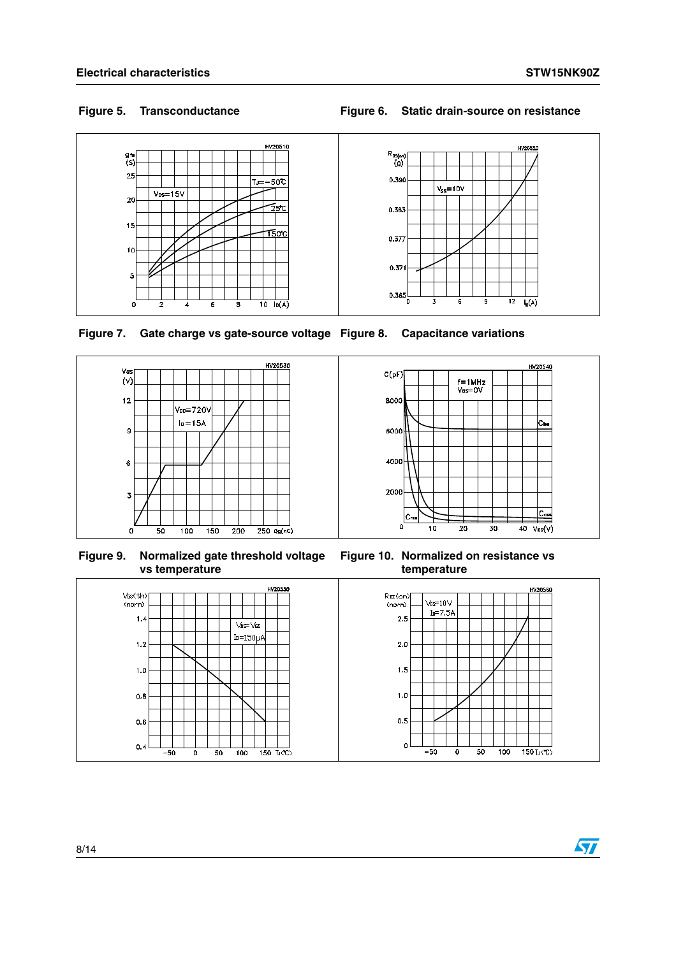5

 $^{\circ}$ 

#### **Figure 5. Transconductance Figure 6. Static drain-source on resistance**



 $0.371$ 

 $0.365$ 

 $\overline{\mathbf{z}}$ 

 $\overline{6}$ 

 $\overline{9}$ 

 $12$  $\overline{I_0(A)}$ 

**Figure 7. Gate charge vs gate-source voltage Figure 8. Capacitance variations**

 $\frac{1}{10}$   $\frac{1}{10(A)}$ 



6

**Figure 9. Normalized gate threshold voltage vs temperature**



**Figure 10. Normalized on resistance vs temperature**

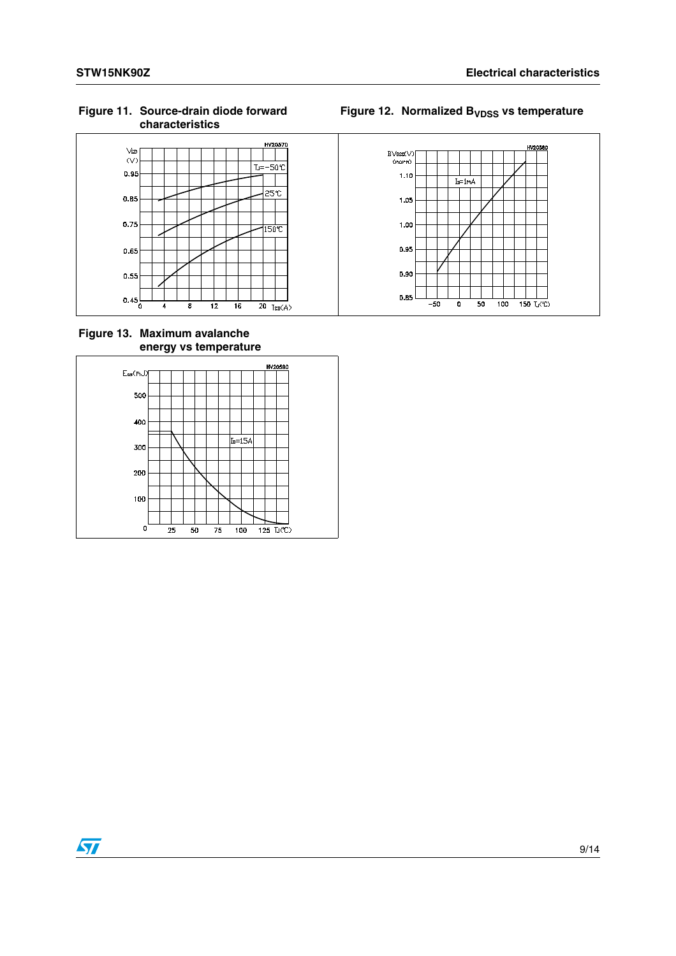**Figure 11. Source-drain diode forward characteristics**



**Figure 13. Maximum avalanche energy vs temperature**



## Figure 12. Normalized B<sub>VDSS</sub> vs temperature

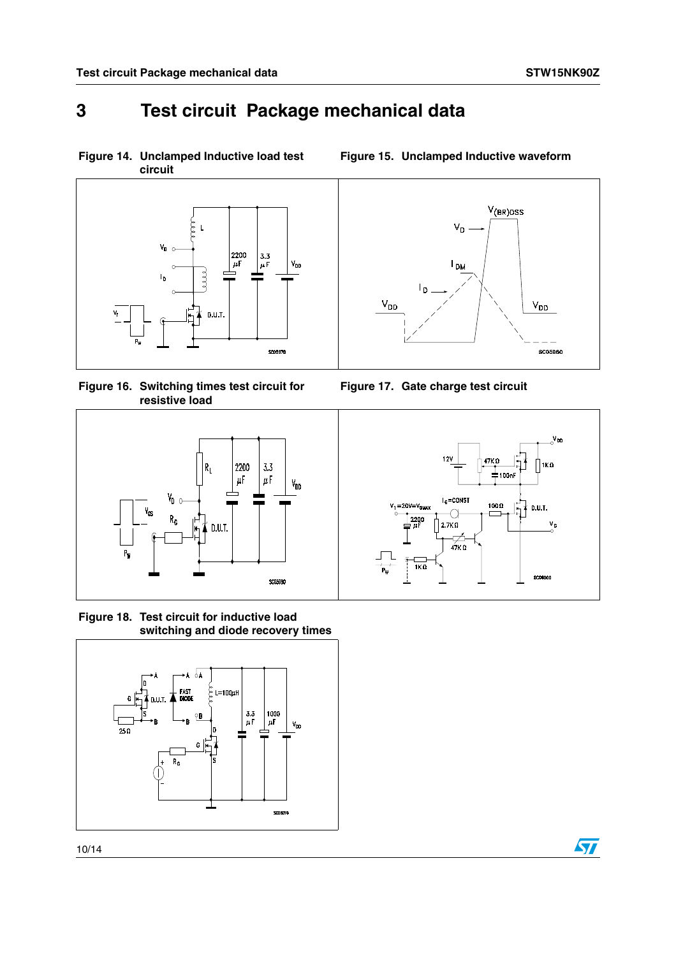# <span id="page-9-0"></span>**3 Test circuit Package mechanical data**

**Figure 14. Unclamped Inductive load test circuit**



<span id="page-9-1"></span>**Figure 16. Switching times test circuit for resistive load**



<span id="page-9-2"></span>**Figure 18. Test circuit for inductive load switching and diode recovery times**





**Figure 15. Unclamped Inductive waveform**





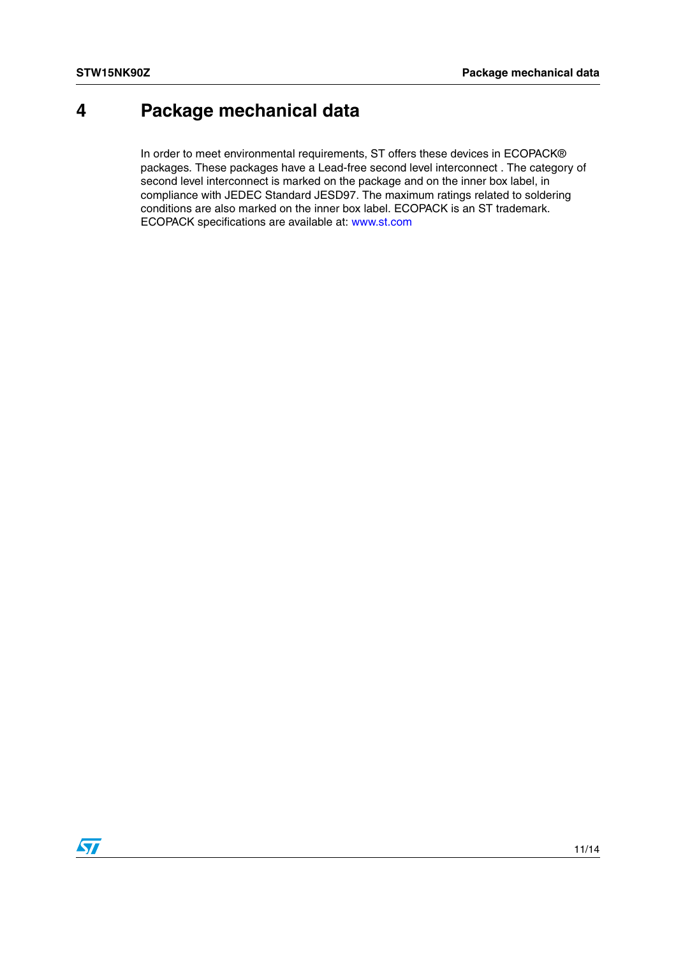# <span id="page-10-0"></span>**4 Package mechanical data**

In order to meet environmental requirements, ST offers these devices in ECOPACK® packages. These packages have a Lead-free second level interconnect . The category of second level interconnect is marked on the package and on the inner box label, in compliance with JEDEC Standard JESD97. The maximum ratings related to soldering conditions are also marked on the inner box label. ECOPACK is an ST trademark. ECOPACK specifications are available at: www.st.com

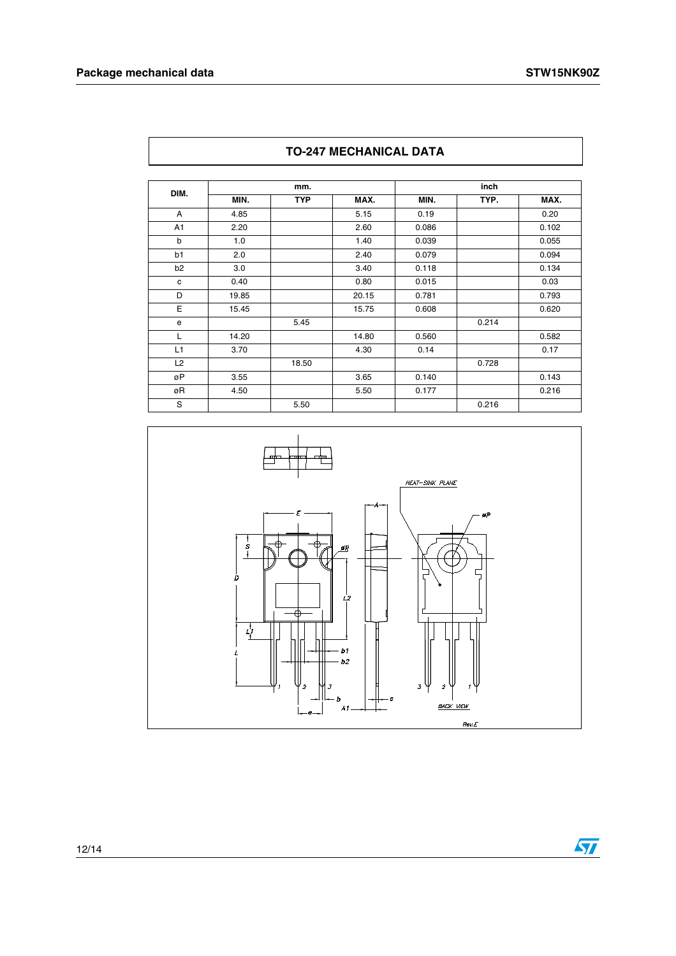| DIM.           | mm.   |            |       | inch  |       |       |  |
|----------------|-------|------------|-------|-------|-------|-------|--|
|                | MIN.  | <b>TYP</b> | MAX.  | MIN.  | TYP.  | MAX.  |  |
| A              | 4.85  |            | 5.15  | 0.19  |       | 0.20  |  |
| A <sub>1</sub> | 2.20  |            | 2.60  | 0.086 |       | 0.102 |  |
| $\mathsf{b}$   | 1.0   |            | 1.40  | 0.039 |       | 0.055 |  |
| b1             | 2.0   |            | 2.40  | 0.079 |       | 0.094 |  |
| b <sub>2</sub> | 3.0   |            | 3.40  | 0.118 |       | 0.134 |  |
| $\mathbf{C}$   | 0.40  |            | 0.80  | 0.015 |       | 0.03  |  |
| D              | 19.85 |            | 20.15 | 0.781 |       | 0.793 |  |
| E              | 15.45 |            | 15.75 | 0.608 |       | 0.620 |  |
| e              |       | 5.45       |       |       | 0.214 |       |  |
| L              | 14.20 |            | 14.80 | 0.560 |       | 0.582 |  |
| L1             | 3.70  |            | 4.30  | 0.14  |       | 0.17  |  |
| L2             |       | 18.50      |       |       | 0.728 |       |  |
| øP             | 3.55  |            | 3.65  | 0.140 |       | 0.143 |  |
| øR             | 4.50  |            | 5.50  | 0.177 |       | 0.216 |  |
| S              |       | 5.50       |       |       | 0.216 |       |  |





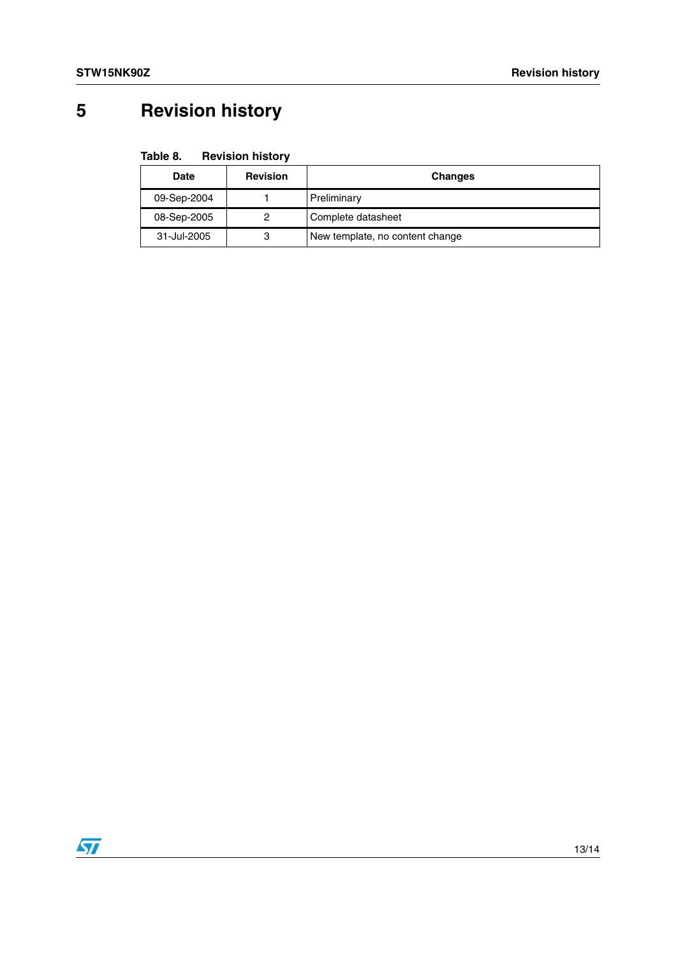# <span id="page-12-0"></span>**5 Revision history**

| <b>Date</b> | <b>Revision</b> | <b>Changes</b>                  |
|-------------|-----------------|---------------------------------|
| 09-Sep-2004 |                 | Preliminary                     |
| 08-Sep-2005 |                 | Complete datasheet              |
| 31-Jul-2005 | 3               | New template, no content change |